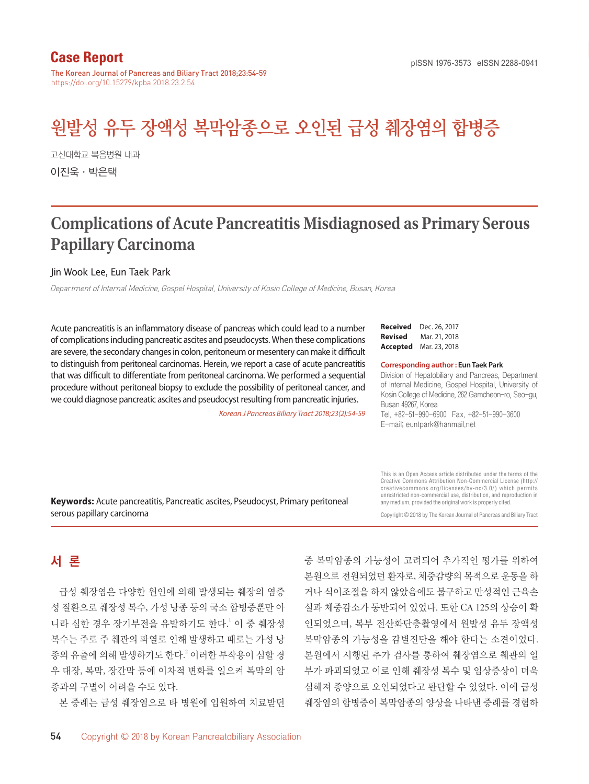# **Case Report**

The Korean Journal of Pancreas and Biliary Tract 2018;23:54-59 https://doi.org/10.15279/kpba.2018.23.2.54

# 원발성 유두 장액성 복막암종으로 오인된 급성 췌장염의 합병증

고신대학교 복음병원 내과 이진욱·박은택

# **Complications of Acute Pancreatitis Misdiagnosed as Primary Serous Papillary Carcinoma**

#### Jin Wook Lee, Eun Taek Park

Department of Internal Medicine, Gospel Hospital, University of Kosin College of Medicine, Busan, Korea

Acute pancreatitis is an inflammatory disease of pancreas which could lead to a number of complications including pancreatic ascites and pseudocysts. When these complications are severe, the secondary changes in colon, peritoneum or mesentery can make it difficult to distinguish from peritoneal carcinomas. Herein, we report a case of acute pancreatitis that was difficult to differentiate from peritoneal carcinoma. We performed a sequential procedure without peritoneal biopsy to exclude the possibility of peritoneal cancer, and we could diagnose pancreatic ascites and pseudocyst resulting from pancreatic injuries.

*Korean J Pancreas Biliary Tract 2018;23(2):54-59*

#### **Received** Dec. 26, 2017 **Revised** Mar. 21, 2018 **Accepted** Mar. 23, 2018

#### **Corresponding author : Eun Taek Park**

Division of Hepatobiliary and Pancreas, Department of Internal Medicine, Gospel Hospital, University of Kosin College of Medicine, 262 Gamcheon-ro, Seo-gu, Busan 49267, Korea

Tel. +82-51-990-6900 Fax. +82-51-990-3600 E-mail; euntpark@hanmail.net

**Keywords:** Acute pancreatitis, Pancreatic ascites, Pseudocyst, Primary peritoneal serous papillary carcinoma

This is an Open Access article distributed under the terms of the Creative Commons Attribution Non-Commercial License (http:// creativecommons.org/licenses/by-nc/3.0/) which permits unrestricted non-commercial use, distribution, and reproduction in any medium, provided the original work is properly cited.

Copyright © 2018 by The Korean Journal of Pancreas and Biliary Tract

# 서 론

급성 췌장염은 다양한 원인에 의해 발생되는 췌장의 염증 성 질환으로 췌장성 복수, 가성 낭종 등의 국소 합병증뿐만 아 니라 심한 경우 장기부전을 유발하기도 한다. <sup>1</sup> 이 중 췌장성 복수는 주로 주 췌관의 파열로 인해 발생하고 때로는 가성 낭 종의 유출에 의해 발생하기도 한다. <sup>2</sup> 이러한 부작용이 심할 경 우 대장, 복막, 장간막 등에 이차적 변화를 일으켜 복막의 암 종과의 구별이 어려울 수도 있다.

본 증례는 급성 췌장염으로 타 병원에 입원하여 치료받던

중 복막암종의 가능성이 고려되어 추가적인 평가를 위하여 본원으로 전원되었던 환자로, 체중감량의 목적으로 운동을 하 거나 식이조절을 하지 않았음에도 불구하고 만성적인 근육손 실과 체중감소가 동반되어 있었다. 또한 CA 125의 상승이 확 인되었으며, 복부 전산화단층촬영에서 원발성 유두 장액성 복막암종의 가능성을 감별진단을 해야 한다는 소견이었다. 본원에서 시행된 추가 검사를 통하여 췌장염으로 췌관의 일 부가 파괴되었고 이로 인해 췌장성 복수 및 임상증상이 더욱 심해져 종양으로 오인되었다고 판단할 수 있었다. 이에 급성 췌장염의 합병증이 복막암종의 양상을 나타낸 증례를 경험하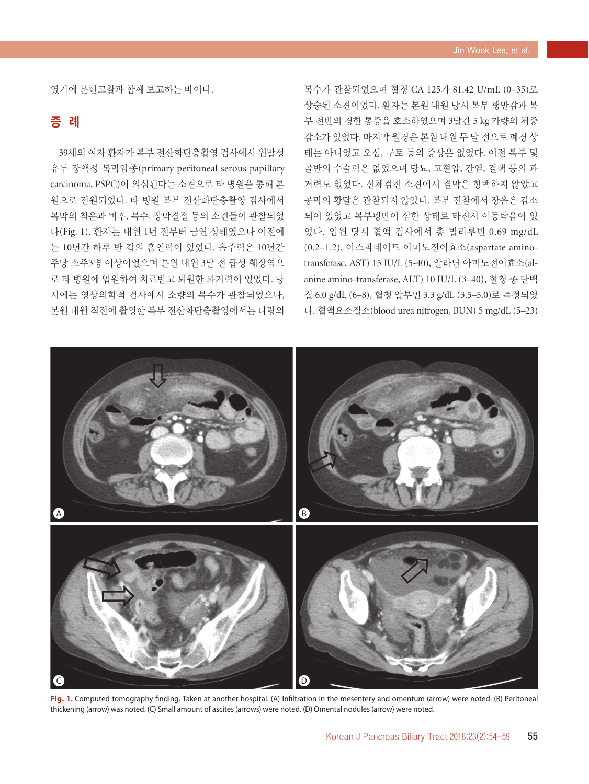였기에 문헌고찰과 함께 보고하는 바이다.

## 증 례

39세의 여자 환자가 복부 전산화단층촬영 검사에서 원발성 유두 장액성 복막암종(primary peritoneal serous papillary carcinoma, PSPC)이 의심된다는 소견으로 타 병원을 통해 본 원으로 전원되었다. 타 병원 복부 전산화단층촬영 검사에서 복막의 침윤과 비후, 복수, 장막결절 등의 소견들이 관찰되었 다(Fig. 1). 환자는 내원 1년 전부터 금연 상태였으나 이전에 는 10년간 하루 반 갑의 흡연력이 있었다. 음주력은 10년간 주당 소주3병 이상이었으며 본원 내원 3달 전 급성 췌장염으 로 타 병원에 입원하여 치료받고 퇴원한 과거력이 있었다. 당 시에는 영상의학적 검사에서 소량의 복수가 관찰되었으나, 본원 내원 직전에 촬영한 복부 전산화단층촬영에서는 다량의

복수가 관찰되었으며 혈청 CA 125가 81.42 U/mL (0–35)로 상승된 소견이었다. 환자는 본원 내원 당시 복부 팽만감과 복 부 전반의 경한 통증을 호소하였으며 3달간 5 kg 가량의 체중 감소가 있었다. 마지막 월경은 본원 내원 두 달 전으로 폐경 상 태는 아니었고 오심, 구토 등의 증상은 없었다. 이전 복부 및 골반의 수술력은 없었으며 당뇨, 고혈압, 간염, 결핵 등의 과 거력도 없었다. 신체검진 소견에서 결막은 창백하지 않았고 공막의 황달은 관찰되지 않았다. 복부 진찰에서 장음은 감소 되어 있었고 복부팽만이 심한 상태로 타진시 이동탁음이 있 었다. 입원 당시 혈액 검사에서 총 빌리루빈 0.69 mg/dL (0.2–1.2), 아스파테이트 아미노전이효소(aspartate aminotransferase, AST) 15 IU/L (5-40), 알라닌 아미노전이효소(alanine amino-transferase, ALT) 10 IU/L (3–40), 혈청 총 단백 질 6.0 g/dL (6–8), 혈청 알부민 3.3 g/dL (3.5–5.0)로 측정되었 다. 혈액요소질소(blood urea nitrogen, BUN) 5 mg/dL (5–23)



**Fig. 1.** Computed tomography finding. Taken at another hospital. (A) Infiltration in the mesentery and omentum (arrow) were noted. (B) Peritoneal thickening (arrow) was noted. (C) Small amount of ascites (arrows) were noted. (D) Omental nodules (arrow) were noted.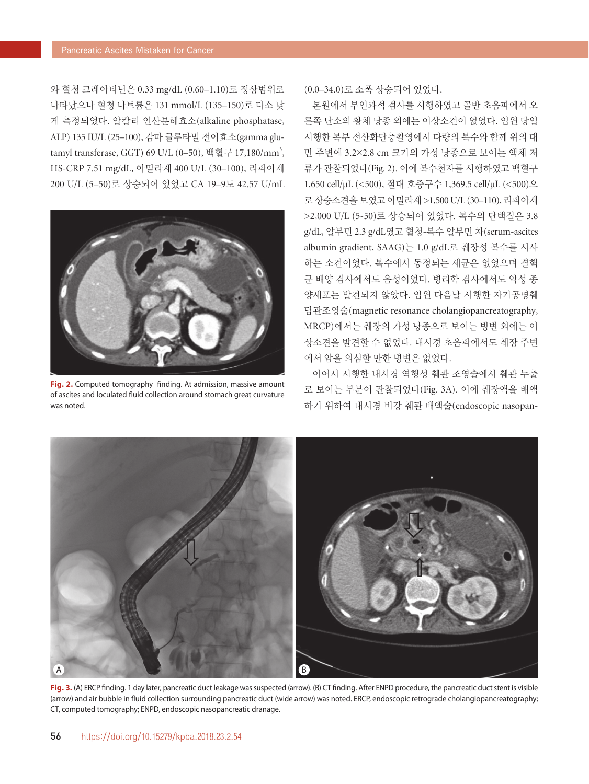와 혈청 크레아티닌은 0.33 mg/dL (0.60–1.10)로 정상범위로 나타났으나 혈청 나트륨은 131 mmol/L (135–150)로 다소 낮 게 측정되었다. 알칼리 인산분해효소(alkaline phosphatase, ALP) 135 IU/L (25–100), 감마 글루타밀 전이효소(gamma glutamyl transferase, GGT) 69 U/L (0–50), 백혈구 17,180/mm<sup>3</sup>, HS-CRP 7.51 mg/dL, 아밀라제 400 U/L (30–100), 리파아제 200 U/L (5–50)로 상승되어 있었고 CA 19–9도 42.57 U/mL



**Fig. 2.** Computed tomography finding. At admission, massive amount of ascites and loculated fluid collection around stomach great curvature was noted.

(0.0–34.0)로 소폭 상승되어 있었다.

본원에서 부인과적 검사를 시행하였고 골반 초음파에서 오 른쪽 난소의 황체 낭종 외에는 이상소견이 없었다. 입원 당일 시행한 복부 전산화단층촬영에서 다량의 복수와 함께 위의 대 만 주변에 3.2×2.8 cm 크기의 가성 낭종으로 보이는 액체 저 류가 관찰되었다(Fig. 2). 이에 복수천자를 시행하였고 백혈구 1,650 cell/µL (<500), 절대 호중구수 1,369.5 cell/µL (<500)으 로 상승소견을 보였고 아밀라제 >1,500 U/L (30–110), 리파아제 >2,000 U/L (5-50)로 상승되어 있었다. 복수의 단백질은 3.8 g/dL, 알부민 2.3 g/dL였고 혈청-복수 알부민 차(serum-ascites albumin gradient, SAAG)는 1.0 g/dL로 췌장성 복수를 시사 하는 소견이었다. 복수에서 동정되는 세균은 없었으며 결핵 균 배양 검사에서도 음성이었다. 병리학 검사에서도 악성 종 양세포는 발견되지 않았다. 입원 다음날 시행한 자기공명췌 담관조영술(magnetic resonance cholangiopancreatography, MRCP)에서는 췌장의 가성 낭종으로 보이는 병변 외에는 이 상소견을 발견할 수 없었다. 내시경 초음파에서도 췌장 주변 에서 암을 의심할 만한 병변은 없었다.

이어서 시행한 내시경 역행성 췌관 조영술에서 췌관 누출 로 보이는 부분이 관찰되었다(Fig. 3A). 이에 췌장액을 배액 하기 위하여 내시경 비강 췌관 배액술(endoscopic nasopan-



**Fig. 3.** (A) ERCP finding. 1 day later, pancreatic duct leakage was suspected (arrow). (B) CT finding. After ENPD procedure, the pancreatic duct stent is visible (arrow) and air bubble in fluid collection surrounding pancreatic duct (wide arrow) was noted. ERCP, endoscopic retrograde cholangiopancreatography; CT, computed tomography; ENPD, endoscopic nasopancreatic dranage.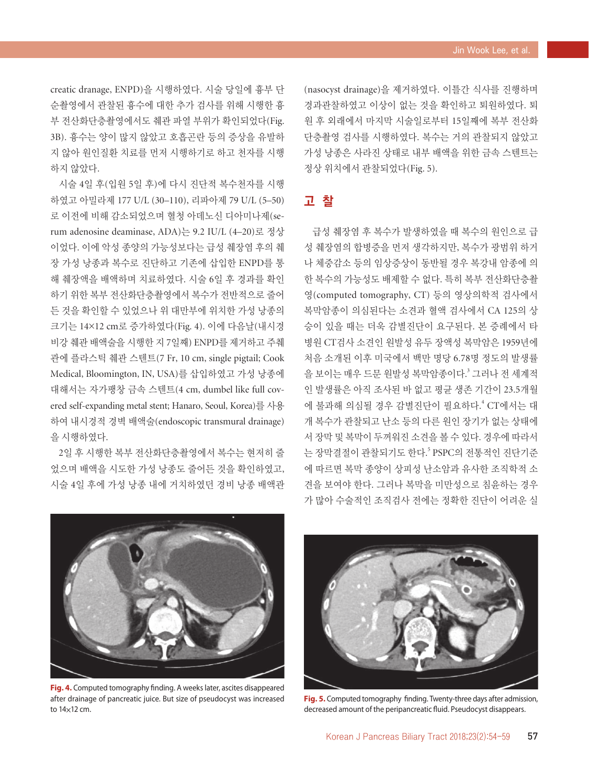creatic dranage, ENPD)을 시행하였다. 시술 당일에 흉부 단 순촬영에서 관찰된 흉수에 대한 추가 검사를 위해 시행한 흉 부 전산화단층촬영에서도 췌관 파열 부위가 확인되었다(Fig. 3B). 흉수는 양이 많지 않았고 호흡곤란 등의 증상을 유발하 지 않아 원인질환 치료를 먼저 시행하기로 하고 천자를 시행 하지 않았다.

시술 4일 후(입원 5일 후)에 다시 진단적 복수천자를 시행 하였고 아밀라제 177 U/L (30–110), 리파아제 79 U/L (5–50) 로 이전에 비해 감소되었으며 혈청 아데노신 디아미나제(serum adenosine deaminase, ADA)는 9.2 IU/L (4–20)로 정상 이었다. 이에 악성 종양의 가능성보다는 급성 췌장염 후의 췌 장 가성 낭종과 복수로 진단하고 기존에 삽입한 ENPD를 통 해 췌장액을 배액하며 치료하였다. 시술 6일 후 경과를 확인 하기 위한 복부 전산화단층촬영에서 복수가 전반적으로 줄어 든 것을 확인할 수 있었으나 위 대만부에 위치한 가성 낭종의 크기는 14×12 cm로 증가하였다(Fig. 4). 이에 다음날(내시경 비강 췌관 배액술을 시행한 지 7일째) ENPD를 제거하고 주췌 관에 플라스틱 췌관 스텐트(7 Fr, 10 cm, single pigtail; Cook Medical, Bloomington, IN, USA)를 삽입하였고 가성 낭종에 대해서는 자가팽창 금속 스텐트(4 cm, dumbel like full covered self-expanding metal stent; Hanaro, Seoul, Korea)를 사용 하여 내시경적 경벽 배액술(endoscopic transmural drainage) 을 시행하였다.

2일 후 시행한 복부 전산화단층촬영에서 복수는 현저히 줄 었으며 배액을 시도한 가성 낭종도 줄어든 것을 확인하였고, 시술 4일 후에 가성 낭종 내에 거치하였던 경비 낭종 배액관 (nasocyst drainage)을 제거하였다. 이틀간 식사를 진행하며 경과관찰하였고 이상이 없는 것을 확인하고 퇴원하였다. 퇴 원 후 외래에서 마지막 시술일로부터 15일째에 복부 전산화 단층촬영 검사를 시행하였다. 복수는 거의 관찰되지 않았고 가성 낭종은 사라진 상태로 내부 배액을 위한 금속 스텐트는 정상 위치에서 관찰되었다(Fig. 5).

## 고 찰

급성 췌장염 후 복수가 발생하였을 때 복수의 원인으로 급 성 췌장염의 합병증을 먼저 생각하지만, 복수가 광범위 하거 나 체중감소 등의 임상증상이 동반될 경우 복강내 암종에 의 한 복수의 가능성도 배제할 수 없다. 특히 복부 전산화단층촬 영(computed tomography, CT) 등의 영상의학적 검사에서 복막암종이 의심된다는 소견과 혈액 검사에서 CA 125의 상 승이 있을 때는 더욱 감별진단이 요구된다. 본 증례에서 타 병원 CT검사 소견인 원발성 유두 장액성 복막암은 1959년에 처음 소개된 이후 미국에서 백만 명당 6.78명 정도의 발생률 을 보이는 매우 드문 원발성 복막암종이다. <sup>3</sup> 그러나 전 세계적 인 발생률은 아직 조사된 바 없고 평균 생존 기간이 23.5개월 에 불과해 의심될 경우 감별진단이 필요하다. 4 CT에서는 대 개 복수가 관찰되고 난소 등의 다른 원인 장기가 없는 상태에 서 장막 및 복막이 두꺼워진 소견을 볼 수 있다. 경우에 따라서 는 장막결절이 관찰되기도 한다.<sup>5</sup> PSPC의 전통적인 진단기준 에 따르면 복막 종양이 상피성 난소암과 유사한 조직학적 소 견을 보여야 한다. 그러나 복막을 미만성으로 침윤하는 경우 가 많아 수술적인 조직검사 전에는 정확한 진단이 어려운 실



**Fig. 4.** Computed tomography finding. A weeks later, ascites disappeared after drainage of pancreatic juice. But size of pseudocyst was increased to 14×12 cm.



**Fig. 5.** Computed tomography finding. Twenty-three days after admission, decreased amount of the peripancreatic fluid. Pseudocyst disappears.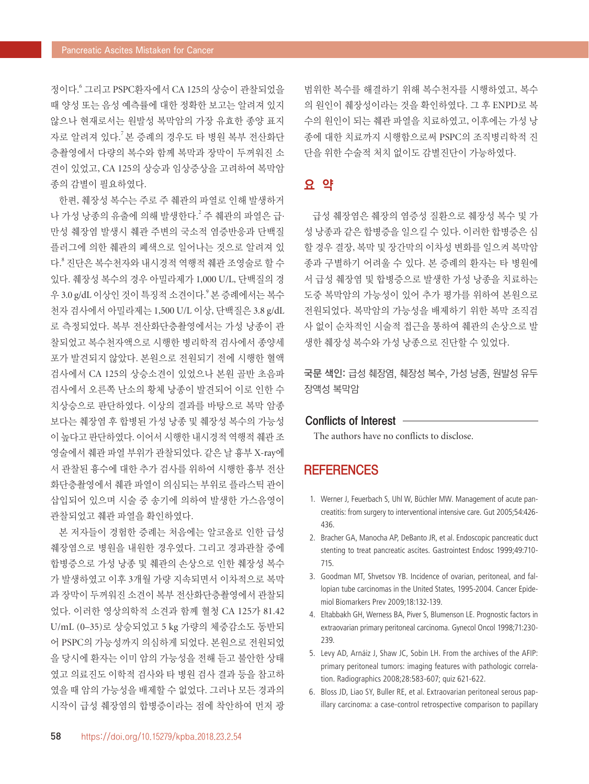정이다. <sup>6</sup> 그리고 PSPC환자에서 CA 125의 상승이 관찰되었을 때 양성 또는 음성 예측률에 대한 정확한 보고는 알려져 있지 않으나 현재로서는 원발성 복막암의 가장 유효한 종양 표지 자로 알려져 있다. <sup>7</sup>본 증례의 경우도 타 병원 복부 전산화단 층촬영에서 다량의 복수와 함께 복막과 장막이 두꺼워진 소 견이 있었고, CA 125의 상승과 임상증상을 고려하여 복막암 종의 감별이 필요하였다.

한편, 췌장성 복수는 주로 주 췌관의 파열로 인해 발생하거 나 가성 낭종의 유출에 의해 발생한다. <sup>2</sup> 주 췌관의 파열은 급· 만성 췌장염 발생시 췌관 주변의 국소적 염증반응과 단백질 플러그에 의한 췌관의 폐색으로 일어나는 것으로 알려져 있 다. <sup>8</sup> 진단은 복수천자와 내시경적 역행적 췌관 조영술로 할 수 있다. 췌장성 복수의 경우 아밀라제가 1,000 U/L, 단백질의 경 우 3.0 g/dL 이상인 것이 특징적 소견이다.<sup>9</sup> 본 증례에서는 복수 천자 검사에서 아밀라제는 1,500 U/L 이상, 단백질은 3.8 g/dL 로 측정되었다. 복부 전산화단층촬영에서는 가성 낭종이 관 찰되었고 복수천자액으로 시행한 병리학적 검사에서 종양세 포가 발견되지 않았다. 본원으로 전원되기 전에 시행한 혈액 검사에서 CA 125의 상승소견이 있었으나 본원 골반 초음파 검사에서 오른쪽 난소의 황체 낭종이 발견되어 이로 인한 수 치상승으로 판단하였다. 이상의 결과를 바탕으로 복막 암종 보다는 췌장염 후 합병된 가성 낭종 및 췌장성 복수의 가능성 이 높다고 판단하였다. 이어서 시행한 내시경적 역행적 췌관 조 영술에서 췌관 파열 부위가 관찰되었다. 같은 날 흉부 X-ray에 서 관찰된 흉수에 대한 추가 검사를 위하여 시행한 흉부 전산 화단층촬영에서 췌관 파열이 의심되는 부위로 플라스틱 관이 삽입되어 있으며 시술 중 송기에 의하여 발생한 가스음영이 관찰되었고 췌관 파열을 확인하였다.

본 저자들이 경험한 증례는 처음에는 알코올로 인한 급성 췌장염으로 병원을 내원한 경우였다. 그리고 경과관찰 중에 합병증으로 가성 낭종 및 췌관의 손상으로 인한 췌장성 복수 가 발생하였고 이후 3개월 가량 지속되면서 이차적으로 복막 과 장막이 두꺼워진 소견이 복부 전산화단층촬영에서 관찰되 었다. 이러한 영상의학적 소견과 함께 혈청 CA 125가 81.42 U/mL (0–35)로 상승되었고 5 kg 가량의 체중감소도 동반되 어 PSPC의 가능성까지 의심하게 되었다. 본원으로 전원되었 을 당시에 환자는 이미 암의 가능성을 전해 듣고 불안한 상태 였고 의료진도 이학적 검사와 타 병원 검사 결과 등을 참고하 였을 때 암의 가능성을 배제할 수 없었다. 그러나 모든 경과의 시작이 급성 췌장염의 합병증이라는 점에 착안하여 먼저 광

범위한 복수를 해결하기 위해 복수천자를 시행하였고, 복수 의 원인이 췌장성이라는 것을 확인하였다. 그 후 ENPD로 복 수의 원인이 되는 췌관 파열을 치료하였고, 이후에는 가성 낭 종에 대한 치료까지 시행함으로써 PSPC의 조직병리학적 진 단을 위한 수술적 처치 없이도 감별진단이 가능하였다.

### 요 약

급성 췌장염은 췌장의 염증성 질환으로 췌장성 복수 및 가 성 낭종과 같은 합병증을 일으킬 수 있다. 이러한 합병증은 심 할 경우 결장, 복막 및 장간막의 이차성 변화를 일으켜 복막암 종과 구별하기 어려울 수 있다. 본 증례의 환자는 타 병원에 서 급성 췌장염 및 합병증으로 발생한 가성 낭종을 치료하는 도중 복막암의 가능성이 있어 추가 평가를 위하여 본원으로 전원되었다. 복막암의 가능성을 배제하기 위한 복막 조직검 사 없이 순차적인 시술적 접근을 통하여 췌관의 손상으로 발 생한 췌장성 복수와 가성 낭종으로 진단할 수 있었다.

국문 색인: 급성 췌장염, 췌장성 복수, 가성 낭종, 원발성 유두 장액성 복막암

#### Conflicts of Interest

The authors have no conflicts to disclose.

### **REFERENCES**

- 1. Werner J, Feuerbach S, Uhl W, Büchler MW. Management of acute pancreatitis: from surgery to interventional intensive care. Gut 2005;54:426- 436.
- 2. Bracher GA, Manocha AP, DeBanto JR, et al. Endoscopic pancreatic duct stenting to treat pancreatic ascites. Gastrointest Endosc 1999;49:710- 715.
- 3. Goodman MT, Shvetsov YB. Incidence of ovarian, peritoneal, and fallopian tube carcinomas in the United States, 1995-2004. Cancer Epidemiol Biomarkers Prev 2009;18:132-139.
- 4. Eltabbakh GH, Werness BA, Piver S, Blumenson LE. Prognostic factors in extraovarian primary peritoneal carcinoma. Gynecol Oncol 1998;71:230- 239.
- 5. Levy AD, Arnáiz J, Shaw JC, Sobin LH. From the archives of the AFIP: primary peritoneal tumors: imaging features with pathologic correlation. Radiographics 2008;28:583-607; quiz 621-622.
- 6. Bloss JD, Liao SY, Buller RE, et al. Extraovarian peritoneal serous papillary carcinoma: a case-control retrospective comparison to papillary